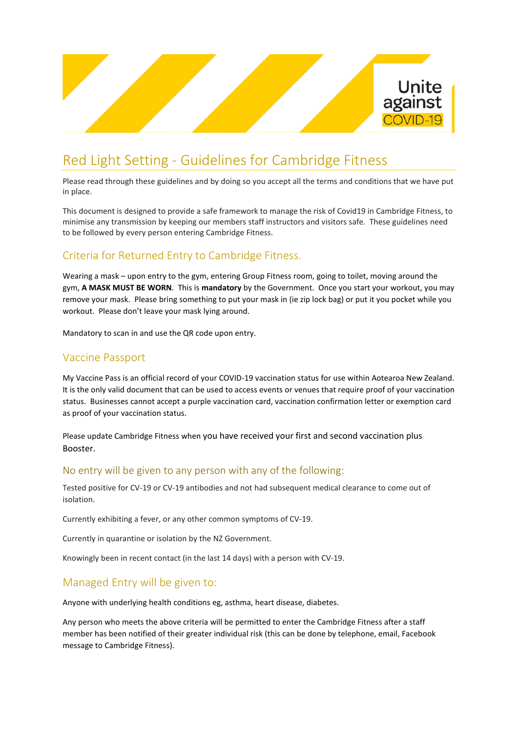

# Red Light Setting - Guidelines for Cambridge Fitness

Please read through these guidelines and by doing so you accept all the terms and conditions that we have put in place.

This document is designed to provide a safe framework to manage the risk of Covid19 in Cambridge Fitness, to minimise any transmission by keeping our members staff instructors and visitors safe. These guidelines need to be followed by every person entering Cambridge Fitness.

## Criteria for Returned Entry to Cambridge Fitness.

Wearing a mask – upon entry to the gym, entering Group Fitness room, going to toilet, moving around the gym, **A MASK MUST BE WORN**. This is **mandatory** by the Government. Once you start your workout, you may remove your mask. Please bring something to put your mask in (ie zip lock bag) or put it you pocket while you workout. Please don't leave your mask lying around.

Mandatory to scan in and use the QR code upon entry.

### Vaccine Passport

My Vaccine Pass is an official record of your COVID-19 vaccination status for use within Aotearoa New Zealand. It is the only valid document that can be used to access events or venues that require proof of your vaccination status. Businesses cannot accept a purple vaccination card, vaccination confirmation letter or exemption card as proof of your vaccination status.

Please update Cambridge Fitness when you have received your first and second vaccination plus Booster.

#### No entry will be given to any person with any of the following:

Tested positive for CV-19 or CV-19 antibodies and not had subsequent medical clearance to come out of isolation.

Currently exhibiting a fever, or any other common symptoms of CV-19.

Currently in quarantine or isolation by the NZ Government.

Knowingly been in recent contact (in the last 14 days) with a person with CV-19.

#### Managed Entry will be given to:

Anyone with underlying health conditions eg, asthma, heart disease, diabetes.

Any person who meets the above criteria will be permitted to enter the Cambridge Fitness after a staff member has been notified of their greater individual risk (this can be done by telephone, email, Facebook message to Cambridge Fitness).